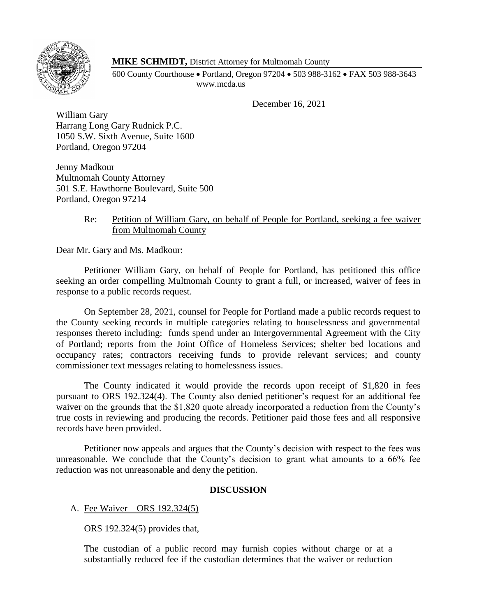

## **MIKE SCHMIDT,** District Attorney for Multnomah County

600 County Courthouse • Portland, Oregon 97204 • 503 988-3162 • FAX 503 988-3643 www.mcda.us

December 16, 2021

William Gary Harrang Long Gary Rudnick P.C. 1050 S.W. Sixth Avenue, Suite 1600 Portland, Oregon 97204

Jenny Madkour Multnomah County Attorney 501 S.E. Hawthorne Boulevard, Suite 500 Portland, Oregon 97214

## Re: Petition of William Gary, on behalf of People for Portland, seeking a fee waiver from Multnomah County

Dear Mr. Gary and Ms. Madkour:

Petitioner William Gary, on behalf of People for Portland, has petitioned this office seeking an order compelling Multnomah County to grant a full, or increased, waiver of fees in response to a public records request.

On September 28, 2021, counsel for People for Portland made a public records request to the County seeking records in multiple categories relating to houselessness and governmental responses thereto including: funds spend under an Intergovernmental Agreement with the City of Portland; reports from the Joint Office of Homeless Services; shelter bed locations and occupancy rates; contractors receiving funds to provide relevant services; and county commissioner text messages relating to homelessness issues.

The County indicated it would provide the records upon receipt of \$1,820 in fees pursuant to ORS 192.324(4). The County also denied petitioner's request for an additional fee waiver on the grounds that the \$1,820 quote already incorporated a reduction from the County's true costs in reviewing and producing the records. Petitioner paid those fees and all responsive records have been provided.

Petitioner now appeals and argues that the County's decision with respect to the fees was unreasonable. We conclude that the County's decision to grant what amounts to a 66% fee reduction was not unreasonable and deny the petition.

## **DISCUSSION**

A. Fee Waiver – ORS 192.324(5)

ORS 192.324(5) provides that,

The custodian of a public record may furnish copies without charge or at a substantially reduced fee if the custodian determines that the waiver or reduction